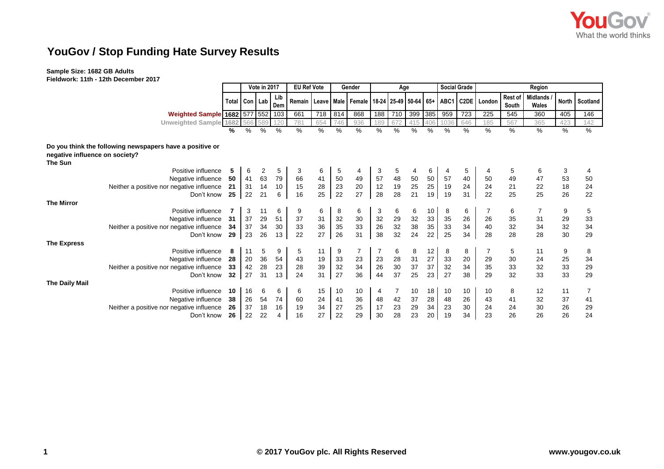

## **YouGov / Stop Funding Hate Survey Results**

## **Sample Size: 1682 GB Adults**

**Fieldwork: 11th - 12th December 2017**

|                                           |                                                          |                   | Vote in 2017 |                |            | <b>EU Ref Vote</b> |     | Gender |                                                                     | Age |     |         |        |      | <b>Social Grade</b> | Region      |                  |                          |              |          |
|-------------------------------------------|----------------------------------------------------------|-------------------|--------------|----------------|------------|--------------------|-----|--------|---------------------------------------------------------------------|-----|-----|---------|--------|------|---------------------|-------------|------------------|--------------------------|--------------|----------|
|                                           |                                                          | Total   Con   Lab |              |                | Lib<br>Dem |                    |     |        | Remain   Leave   Male   Female   18-24   25-49   50-64   65+   ABC1 |     |     |         |        |      |                     | C2DE London | Rest of<br>South | <b>Midlands</b><br>Wales | <b>North</b> | Scotland |
|                                           | <b>Weighted Sample 1682 577 552</b>                      |                   |              |                | 103        | 661                | 718 | 814    | 868                                                                 | 188 | 710 | 399 385 |        | 959  | 723                 | 225         | 545              | 360                      | 405          | 146      |
|                                           | <b>Unweighted Sample 1682</b>                            |                   | 566          | 589            | 120        | 781                | 654 | 746    | 936                                                                 | 189 | 672 | 415     | 406    | 1036 | 646                 | 185         | 567              | 365                      | 423          | 142      |
|                                           |                                                          | ℅                 | %            | %              | %          | $\%$               | %   | %      | %                                                                   | %   | %   | $\%$    | %      | $\%$ | $\%$                | %           | %                | %                        | %            | %        |
| negative influence on society?<br>The Sun | Do you think the following newspapers have a positive or |                   |              |                |            |                    |     |        |                                                                     |     |     |         |        |      |                     |             |                  |                          |              |          |
|                                           | Positive influence                                       | 5                 | 6            | $\overline{2}$ | 5          | 3                  | 6   | 5      | 4                                                                   | 3   | 5   | 4       | 6      | 4    | 5                   |             | 5                | 6                        | 3            |          |
|                                           | Negative influence                                       | 50                | 41           | 63             | 79         | 66                 | 41  | 50     | 49                                                                  | 57  | 48  | 50      | 50     | 57   | 40                  | 50          | 49               | 47                       | 53           | 50       |
|                                           | Neither a positive nor negative influence                | 21                | 31           | 14             | 10         | 15                 | 28  | 23     | 20                                                                  | 12  | 19  | 25      | 25     | 19   | 24                  | 24          | 21               | 22                       | 18           | 24       |
|                                           | Don't know                                               | 25                | 22           | 21             | 6          | 16                 | 25  | 22     | 27                                                                  | 28  | 28  | 21      | 19     | 19   | 31                  | 22          | 25               | 25                       | 26           | 22       |
| <b>The Mirror</b>                         |                                                          |                   |              |                |            |                    |     |        |                                                                     |     |     |         |        |      |                     |             |                  |                          |              |          |
|                                           | Positive influence                                       |                   | 3            | 11             | 6          | 9                  | 6   | 8      | 6                                                                   | 3   | 6   | 6       | 10     | 8    | 6                   |             | 6                | 7                        | 9            | 5        |
|                                           | Negative influence                                       | 31                | 37           | 29             | 51         | 37                 | 31  | 32     | 30                                                                  | 32  | 29  | 32      | 33     | 35   | 26                  | 26          | 35               | 31                       | 29           | 33       |
|                                           | Neither a positive nor negative influence                | 34                | 37           | 34             | 30         | 33                 | 36  | 35     | 33                                                                  | 26  | 32  | 38      | 35     | 33   | 34                  | 40          | 32               | 34                       | 32           | 34       |
|                                           | Don't know                                               | 29                | 23           | 26             | 13         | 22                 | 27  | 26     | 31                                                                  | 38  | 32  | 24      | 22     | 25   | 34                  | 28          | 28               | 28                       | 30           | 29       |
| <b>The Express</b>                        |                                                          |                   |              |                |            |                    |     |        |                                                                     |     |     |         |        |      |                     |             |                  |                          |              |          |
|                                           | Positive influence                                       | 8                 | 11           | 5              | 9          | 5                  | 11  | 9      | $\overline{7}$                                                      | 7   | 6   | 8       | 12     | 8    | 8                   |             | 5                | 11                       | 9            | 8        |
|                                           | Negative influence                                       | 28                | 20           | 36             | 54         | 43                 | 19  | 33     | 23                                                                  | 23  | 28  | 31      | $27\,$ | 33   | 20                  | 29          | 30               | 24                       | 25           | 34       |
|                                           | Neither a positive nor negative influence                | 33                | 42           | 28             | 23         | 28                 | 39  | 32     | 34                                                                  | 26  | 30  | 37      | 37     | 32   | 34                  | 35          | 33               | 32                       | 33           | 29       |
|                                           | Don't know                                               | 32                | 27           | 31             | 13         | 24                 | 31  | 27     | 36                                                                  | 44  | 37  | 25      | 23     | 27   | 38                  | 29          | 32               | 33                       | 33           | 29       |
| <b>The Daily Mail</b>                     |                                                          |                   |              |                |            |                    |     |        |                                                                     |     |     |         |        |      |                     |             |                  |                          |              |          |
|                                           | Positive influence                                       | 10                | 16           | 6              | 6          | 6                  | 15  | 10     | 10                                                                  | 4   | 7   | 10      | 18     | 10   | 10                  | 10          | 8                | 12                       | 11           | 7        |
|                                           | Negative influence                                       | 38                | 26           | 54             | 74         | 60                 | 24  | 41     | 36                                                                  | 48  | 42  | 37      | 28     | 48   | 26                  | 43          | 41               | 32                       | 37           | 41       |
|                                           | Neither a positive nor negative influence                | 26                | 37           | 18             | 16         | 19                 | 34  | 27     | 25                                                                  | 17  | 23  | 29      | 34     | 23   | 30                  | 24          | 24               | 30                       | 26           | 29       |
|                                           | Don't know                                               | 26                | 22           | 22             | 4          | 16                 | 27  | 22     | 29                                                                  | 30  | 28  | 23      | 20     | 19   | 34                  | 23          | 26               | 26                       | 26           | 24       |